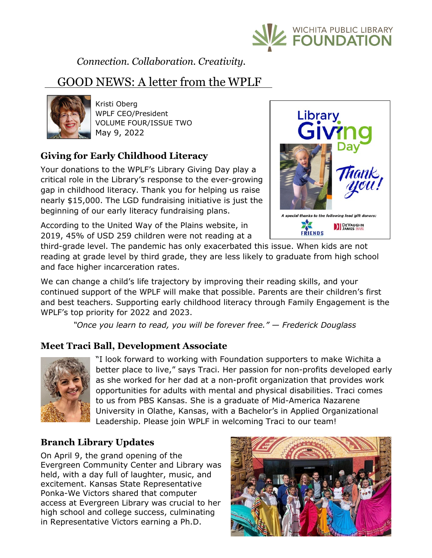

*Connection. Collaboration. Creativity.*

# GOOD NEWS: A letter from the WPLF



Kristi Oberg WPLF CEO/President VOLUME FOUR/ISSUE TWO May 9, 2022

## **Giving for Early Childhood Literacy**

Your donations to the WPLF's Library Giving Day play a critical role in the Library's response to the ever-growing gap in childhood literacy. Thank you for helping us raise nearly \$15,000. The LGD fundraising initiative is just the beginning of our early literacy fundraising plans.

According to the United Way of the Plains website, in 2019, 45% of USD 259 children were not reading at a



third-grade level. The pandemic has only exacerbated this issue. When kids are not reading at grade level by third grade, they are less likely to graduate from high school and face higher incarceration rates.

We can change a child's life trajectory by improving their reading skills, and your continued support of the WPLF will make that possible. Parents are their children's first and best teachers. Supporting early childhood literacy through Family Engagement is the WPLF's top priority for 2022 and 2023.

 *"Once you learn to read, you will be forever free." — Frederick Douglass* 

## **Meet Traci Ball, Development Associate**



"I look forward to working with Foundation supporters to make Wichita a better place to live," says Traci. Her passion for non-profits developed early as she worked for her dad at a non-profit organization that provides work opportunities for adults with mental and physical disabilities. Traci comes to us from PBS Kansas. She is a graduate of Mid-America Nazarene University in Olathe, Kansas, with a Bachelor's in Applied Organizational Leadership. Please join WPLF in welcoming Traci to our team!

## **Branch Library Updates**

On April 9, the grand opening of the Evergreen Community Center and Library was held, with a day full of laughter, music, and excitement. Kansas State Representative Ponka-We Victors shared that computer access at Evergreen Library was crucial to her high school and college success, culminating in Representative Victors earning a Ph.D.